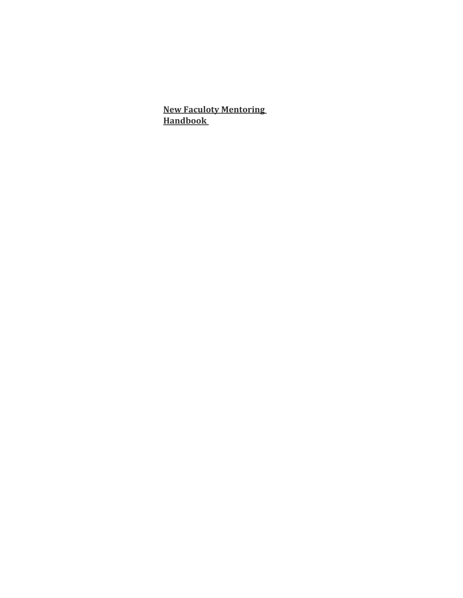**New Faculoty Mentoring Handbook**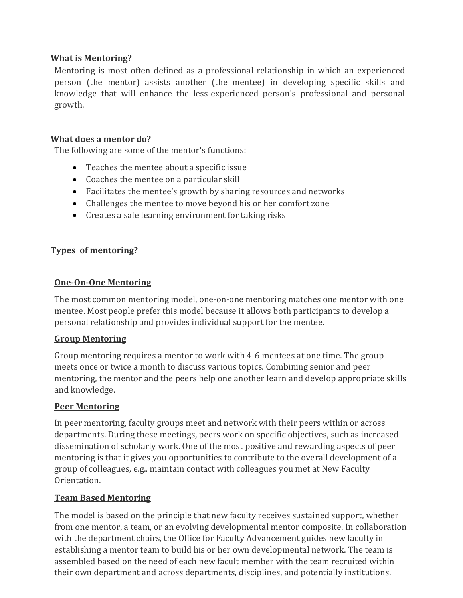## **What is Mentoring?**

Mentoring is most often defined as a professional relationship in which an experienced person (the mentor) assists another (the mentee) in developing specific skills and knowledge that will enhance the less-experienced person's professional and personal growth.

#### **What does a mentor do?**

The following are some of the mentor's functions:

- Teaches the mentee about a specific issue
- Coaches the mentee on a particular skill
- Facilitates the mentee's growth by sharing resources and networks
- Challenges the mentee to move beyond his or her comfort zone
- Creates a safe learning environment for taking risks

#### **Types of mentoring?**

#### **One-On-One Mentoring**

The most common mentoring model, one-on-one mentoring matches one mentor with one mentee. Most people prefer this model because it allows both participants to develop a personal relationship and provides individual support for the mentee.

#### **Group Mentoring**

Group mentoring requires a mentor to work with 4-6 mentees at one time. The group meets once or twice a month to discuss various topics. Combining senior and peer mentoring, the mentor and the peers help one another learn and develop appropriate skills and knowledge.

#### **Peer Mentoring**

In peer mentoring, faculty groups meet and network with their peers within or across departments. During these meetings, peers work on specific objectives, such as increased dissemination of scholarly work. One of the most positive and rewarding aspects of peer mentoring is that it gives you opportunities to contribute to the overall development of a group of colleagues, e.g., maintain contact with colleagues you met at New Faculty Orientation.

#### **Team Based Mentoring**

The model is based on the principle that new faculty receives sustained support, whether from one mentor, a team, or an evolving developmental mentor composite. In collaboration with the department chairs, the Office for Faculty Advancement guides new faculty in establishing a mentor team to build his or her own developmental network. The team is assembled based on the need of each new facult member with the team recruited within their own department and across departments, disciplines, and potentially institutions.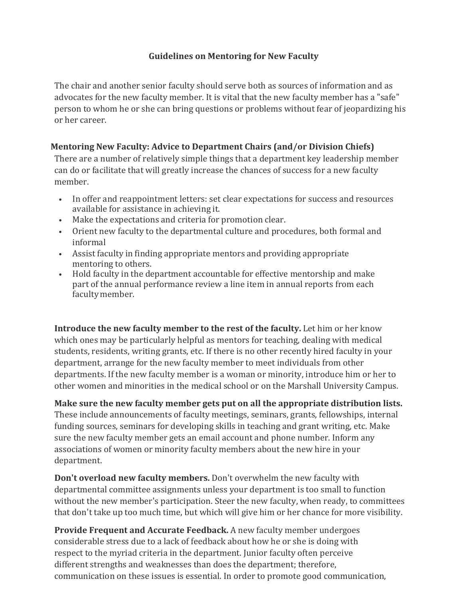## **Guidelines on Mentoring for New Faculty**

The chair and another senior faculty should serve both as sources of information and as advocates for the new faculty member. It is vital that the new faculty member has a "safe" person to whom he or she can bring questions or problems without fear of jeopardizing his or her career.

## **Mentoring New Faculty: Advice to Department Chairs (and/or Division Chiefs)**

There are a number of relatively simple things that a department key leadership member can do or facilitate that will greatly increase the chances of success for a new faculty member.

- In offer and reappointment letters: set clear expectations for success and resources available for assistance in achieving it.
- Make the expectations and criteria for promotion clear.
- Orient new faculty to the departmental culture and procedures, both formal and informal
- Assist faculty in finding appropriate mentors and providing appropriate mentoring to others.
- Hold faculty in the department accountable for effective mentorship and make part of the annual performance review a line item in annual reports from each faculty member.

**Introduce the new faculty member to the rest of the faculty.** Let him or her know which ones may be particularly helpful as mentors for teaching, dealing with medical students, residents, writing grants, etc. If there is no other recently hired faculty in your department, arrange for the new faculty member to meet individuals from other departments. If the new faculty member is a woman or minority, introduce him or her to other women and minorities in the medical school or on the Marshall University Campus.

## **Make sure the new faculty member gets put on all the appropriate distribution lists.**

These include announcements of faculty meetings, seminars, grants, fellowships, internal funding sources, seminars for developing skills in teaching and grant writing, etc. Make sure the new faculty member gets an email account and phone number. Inform any associations of women or minority faculty members about the new hire in your department.

**Don't overload new faculty members.** Don't overwhelm the new faculty with departmental committee assignments unless your department is too small to function without the new member's participation. Steer the new faculty, when ready, to committees that don't take up too much time, but which will give him or her chance for more visibility.

**Provide Frequent and Accurate Feedback.** A new faculty member undergoes considerable stress due to a lack of feedback about how he or she is doing with respect to the myriad criteria in the department. Junior faculty often perceive different strengths and weaknesses than does the department; therefore, communication on these issues is essential. In order to promote good communication,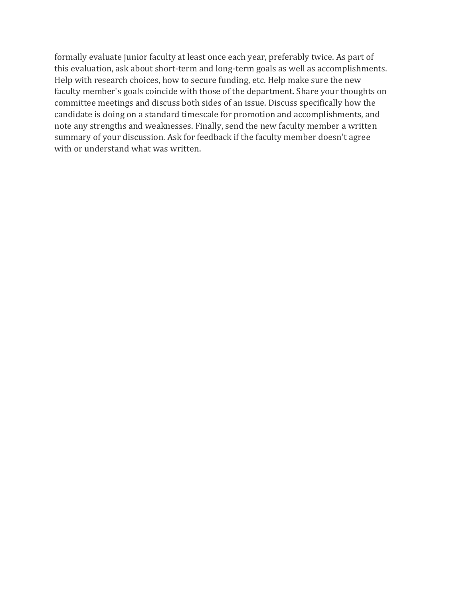formally evaluate junior faculty at least once each year, preferably twice. As part of this evaluation, ask about short-term and long-term goals as well as accomplishments. Help with research choices, how to secure funding, etc. Help make sure the new faculty member's goals coincide with those of the department. Share your thoughts on committee meetings and discuss both sides of an issue. Discuss specifically how the candidate is doing on a standard timescale for promotion and accomplishments, and note any strengths and weaknesses. Finally, send the new faculty member a written summary of your discussion. Ask for feedback if the faculty member doesn't agree with or understand what was written.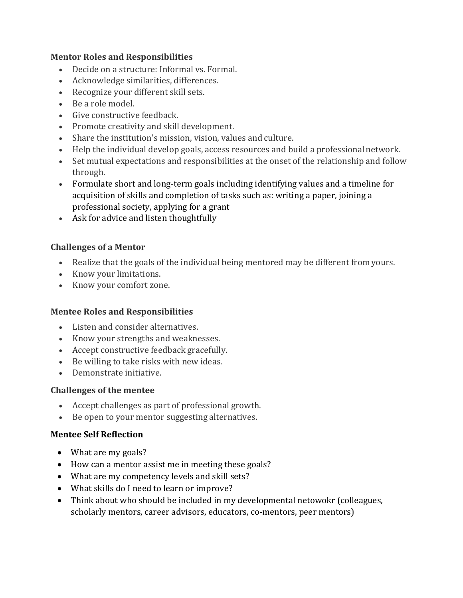#### **Mentor Roles and Responsibilities**

- Decide on a structure: Informal vs. Formal.
- Acknowledge similarities, differences.
- Recognize your different skill sets.
- Be a role model.
- Give constructive feedback.
- Promote creativity and skill development.
- Share the institution's mission, vision, values and culture.
- Help the individual develop goals, access resources and build a professional network.
- Set mutual expectations and responsibilities at the onset of the relationship and follow through.
- Formulate short and long-term goals including identifying values and a timeline for acquisition of skills and completion of tasks such as: writing a paper, joining a professional society, applying for a grant
- Ask for advice and listen thoughtfully

#### **Challenges of a Mentor**

- Realize that the goals of the individual being mentored may be different from yours.
- Know your limitations.
- Know your comfort zone.

#### **Mentee Roles and Responsibilities**

- Listen and consider alternatives.
- Know your strengths and weaknesses.
- Accept constructive feedback gracefully.
- Be willing to take risks with new ideas.
- Demonstrate initiative.

#### **Challenges of the mentee**

- Accept challenges as part of professional growth.
- Be open to your mentor suggesting alternatives.

#### **Mentee Self Reflection**

- What are my goals?
- How can a mentor assist me in meeting these goals?
- What are my competency levels and skill sets?
- What skills do I need to learn or improve?
- Think about who should be included in my developmental netowokr (colleagues, scholarly mentors, career advisors, educators, co-mentors, peer mentors)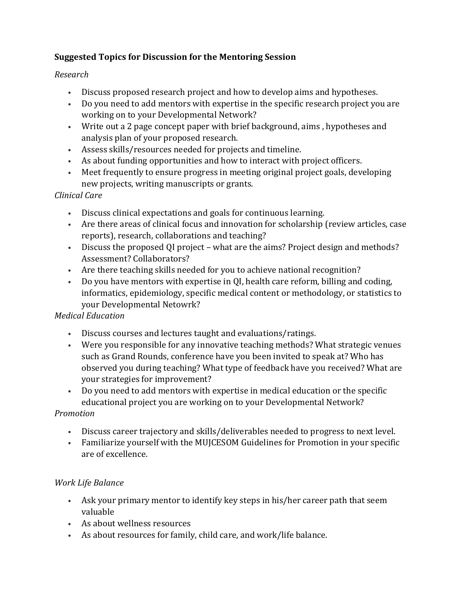## **Suggested Topics for Discussion for the Mentoring Session**

## *Research*

- Discuss proposed research project and how to develop aims and hypotheses.
- Do you need to add mentors with expertise in the specific research project you are working on to your Developmental Network?
- Write out a 2 page concept paper with brief background, aims , hypotheses and analysis plan of your proposed research.
- Assess skills/resources needed for projects and timeline.
- As about funding opportunities and how to interact with project officers.
- Meet frequently to ensure progress in meeting original project goals, developing new projects, writing manuscripts or grants.

## *Clinical Care*

- Discuss clinical expectations and goals for continuous learning.
- Are there areas of clinical focus and innovation for scholarship (review articles, case reports), research, collaborations and teaching?
- Discuss the proposed QI project what are the aims? Project design and methods? Assessment? Collaborators?
- Are there teaching skills needed for you to achieve national recognition?
- Do you have mentors with expertise in QI, health care reform, billing and coding, informatics, epidemiology, specific medical content or methodology, or statistics to your Developmental Netowrk?

## *Medical Education*

- Discuss courses and lectures taught and evaluations/ratings.
- Were you responsible for any innovative teaching methods? What strategic venues such as Grand Rounds, conference have you been invited to speak at? Who has observed you during teaching? What type of feedback have you received? What are your strategies for improvement?
- Do you need to add mentors with expertise in medical education or the specific educational project you are working on to your Developmental Network?

#### *Promotion*

- Discuss career trajectory and skills/deliverables needed to progress to next level.
- Familiarize yourself with the MUJCESOM Guidelines for Promotion in your specific are of excellence.

## *Work Life Balance*

- Ask your primary mentor to identify key steps in his/her career path that seem valuable
- As about wellness resources
- As about resources for family, child care, and work/life balance.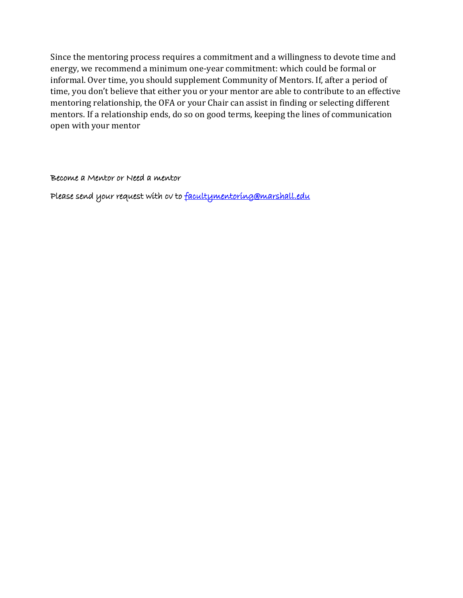Since the mentoring process requires a commitment and a willingness to devote time and energy, we recommend a minimum one-year commitment: which could be formal or informal. Over time, you should supplement Community of Mentors. If, after a period of time, you don't believe that either you or your mentor are able to contribute to an effective mentoring relationship, the OFA or your Chair can assist in finding or selecting different mentors. If a relationship ends, do so on good terms, keeping the lines of communication open with your mentor

Become a Mentor or Need a mentor

Please send your request with cv to [facultymentoring@marshall.edu](mailto:facultymentoring@marshall.edu)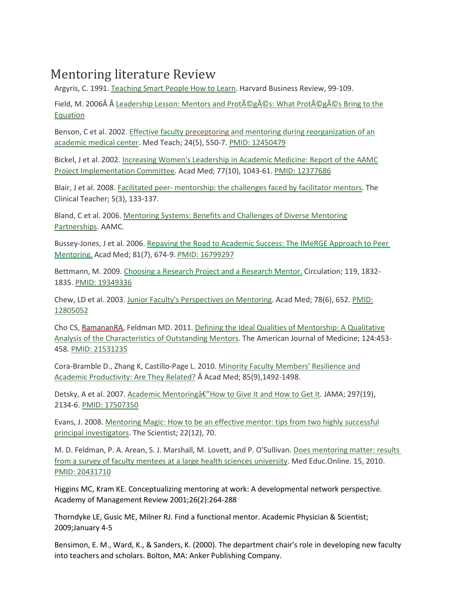# Mentoring literature Review

Argyris, C. 1991. [Teaching Smart People How to Learn. H](http://hbr.org/product/teaching-smart-people-how-to-learn/an/91301-PDF-ENG)arvard Business Review, 99-109.

Field, M. 2006 Leadership Lesson: Mentors and Protégés: What Protégés Bring to the [Equation](https://www.aamc.org/members/gfa/faculty_vitae/148556/mentors_proteges.html)

Benson, C et al. 2002. Effective faculty preceptoring [and mentoring during reorganization](http://www.ncbi.nlm.nih.gov/pubmed/12450479) of an [academic medical center. M](http://www.ncbi.nlm.nih.gov/pubmed/12450479)ed Teach; 24(5), 550-7. [PMID: 12450479](http://www.ncbi.nlm.nih.gov/pubmed/12450479)

Bickel, J et al. 2002[. Increasing Women's Leadership in Academic Medicine: Report of the AAMC](http://www.ncbi.nlm.nih.gov/pubmed/12377686) [Project Implementation Committee. A](http://www.ncbi.nlm.nih.gov/pubmed/12377686)cad Med; 77(10), 1043-61. [PMID: 12377686](http://www.ncbi.nlm.nih.gov/pubmed/12377686)

Blair, J et al. 2008. Facilitated peer- [mentorship: the challenges faced by facilitator mentors. T](http://www3.interscience.wiley.com/journal/121417659/abstract?CRETRY=1&SRETRY=0)he Clinical Teacher; 5(3), 133-137.

Bland, C et al. 2006. [Mentoring Systems: Benefits and Challenges of Diverse Mentoring](http://www.aamc.org/members/facultydev/facultyvitae/fall06/feature.htm) [Partnerships. A](http://www.aamc.org/members/facultydev/facultyvitae/fall06/feature.htm)AMC.

Bussey-Jones, J et al. 2006[. Repaving the Road to Academic Success: The IMeRGE Approach to Peer](http://www.ncbi.nlm.nih.gov/pubmed/16799297) [Mentoring.](http://www.ncbi.nlm.nih.gov/pubmed/16799297) Acad Med; 81(7), 674-9. [PMID: 16799297](http://www.ncbi.nlm.nih.gov/pubmed/16799297)

Bettmann, M. 2009. [Choosing a Research Project and a Research Mentor.](http://www.ncbi.nlm.nih.gov/pubmed/19349336) Circulation; 119, 1832- 1835[. PMID: 19349336](http://www.ncbi.nlm.nih.gov/pubmed/19349336)

Chew, LD et al. 2003. [Junior Faculty's Perspectives on Mentoring. A](http://www.ncbi.nlm.nih.gov/pubmed/12805052)cad Med; 78(6), 652. [PMID:](http://www.ncbi.nlm.nih.gov/pubmed) [12805052](http://www.ncbi.nlm.nih.gov/pubmed)

Cho CS, RamananRA, Feldman MD. 2011. [Defining the Ideal Qualities of Mentorship: A Qualitative](http://www.sciencedirect.com.ezproxy.bu.edu/science?_ob=ArticleURL&_udi=B6TDC-52RGXDT-8&_user=489277&_coverDate=05%2F31%2F2011&_rdoc=1&_fmt=high&_orig=gateway&_origin=gateway&_sort=d&_docanchor&view=c&_acct=C000022679&_version=1&_urlVersion=0&_userid=489277&md5=bf0c18f6a59d80c05d1875cee8c3d046&searchtype=a) [Analysis of the Characteristics of Outstanding Mentors. T](http://www.sciencedirect.com.ezproxy.bu.edu/science?_ob=ArticleURL&_udi=B6TDC-52RGXDT-8&_user=489277&_coverDate=05%2F31%2F2011&_rdoc=1&_fmt=high&_orig=gateway&_origin=gateway&_sort=d&_docanchor&view=c&_acct=C000022679&_version=1&_urlVersion=0&_userid=489277&md5=bf0c18f6a59d80c05d1875cee8c3d046&searchtype=a)he American Journal of Medicine; 124:453- 458. [PMID: 21531235](http://www.ncbi.nlm.nih.gov/pubmed/21531235)

Cora-Bramble D., Zhang K, Castillo-Page L. 2010. [Minority Faculty Members' Resilience and](http://www.ncbi.nlm.nih.gov.ezproxy.bu.edu/pubmed/20453809) [Academic Productivity: Are They Related?](http://www.ncbi.nlm.nih.gov.ezproxy.bu.edu/pubmed/20453809) Â Acad Med; 85(9),1492-1498.

Detsky, A et al. 2007. Academic Mentoringâ€"How to Give It and How to Get It. JAMA; 297(19), 2134-6[. PMID: 17507350](http://www.ncbi.nlm.nih.gov/pubmed/17507350)

Evans, J. 2008. [Mentoring Magic: How to be an effective](http://www.the-scientist.com/article/print/55235/) mentor: tips from two highly successful [principal investigators. T](http://www.the-scientist.com/article/print/55235/)he Scientist; 22(12), 70.

M. D. Feldman, P. A. Arean, S. J. Marshall, M. Lovett, and P. O'Sullivan. [Does mentoring matter:](http://journals.sfu.ca/coaction/index.php/meo/article/viewFile/5063/5582) [results](http://journals.sfu.ca/coaction/index.php/meo/article/viewFile/5063/5582)  [from a survey of faculty mentees at a large health sciences university.](http://journals.sfu.ca/coaction/index.php/meo/article/viewFile/5063/5582) Med Educ.Online. 15, 2010[.](http://www.ncbi.nlm.nih.gov/pubmed/20431710) [PMID: 20431710](http://www.ncbi.nlm.nih.gov/pubmed/20431710)

Higgins MC, Kram KE. Conceptualizing mentoring at work: A developmental network perspective. Academy of Management Review 2001;26(2):264-288

Thorndyke LE, Gusic ME, Milner RJ. Find a functional mentor. Academic Physician & Scientist; 2009;January 4-5

Bensimon, E. M., Ward, K., & Sanders, K. (2000). The department chair's role in developing new faculty into teachers and scholars. Bolton, MA: Anker Publishing Company.